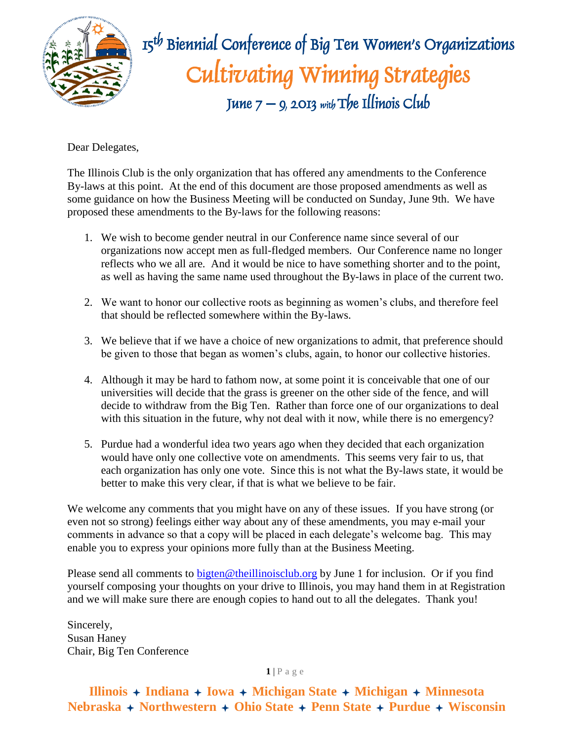

 $\mathbb{R}$   $\mathbb{R}$   $\mathbb{R}$   $\mathbb{R}$   $\mathbb{R}$   $\mathbb{R}$   $\mathbb{R}$  Biennial Conference of Big Ten Women's Organizations Cultivating Winning Strategies June  $7 - 9$ , 2013 with The Illinois Club

Dear Delegates,

The Illinois Club is the only organization that has offered any amendments to the Conference By-laws at this point. At the end of this document are those proposed amendments as well as some guidance on how the Business Meeting will be conducted on Sunday, June 9th. We have proposed these amendments to the By-laws for the following reasons:

- 1. We wish to become gender neutral in our Conference name since several of our organizations now accept men as full-fledged members. Our Conference name no longer reflects who we all are. And it would be nice to have something shorter and to the point, as well as having the same name used throughout the By-laws in place of the current two.
- 2. We want to honor our collective roots as beginning as women's clubs, and therefore feel that should be reflected somewhere within the By-laws.
- 3. We believe that if we have a choice of new organizations to admit, that preference should be given to those that began as women's clubs, again, to honor our collective histories.
- 4. Although it may be hard to fathom now, at some point it is conceivable that one of our universities will decide that the grass is greener on the other side of the fence, and will decide to withdraw from the Big Ten. Rather than force one of our organizations to deal with this situation in the future, why not deal with it now, while there is no emergency?
- 5. Purdue had a wonderful idea two years ago when they decided that each organization would have only one collective vote on amendments. This seems very fair to us, that each organization has only one vote. Since this is not what the By-laws state, it would be better to make this very clear, if that is what we believe to be fair.

We welcome any comments that you might have on any of these issues. If you have strong (or even not so strong) feelings either way about any of these amendments, you may e-mail your comments in advance so that a copy will be placed in each delegate's welcome bag. This may enable you to express your opinions more fully than at the Business Meeting.

Please send all comments to [bigten@theillinoisclub.org](mailto:bigten@theillinoisclub.org) by June 1 for inclusion. Or if you find yourself composing your thoughts on your drive to Illinois, you may hand them in at Registration and we will make sure there are enough copies to hand out to all the delegates. Thank you!

Sincerely, Susan Haney Chair, Big Ten Conference

### $1$  | P a g e

## **Illinois Indiana Iowa Michigan State Michigan Minnesota Nebraska Northwestern Ohio State Penn State Purdue Wisconsin**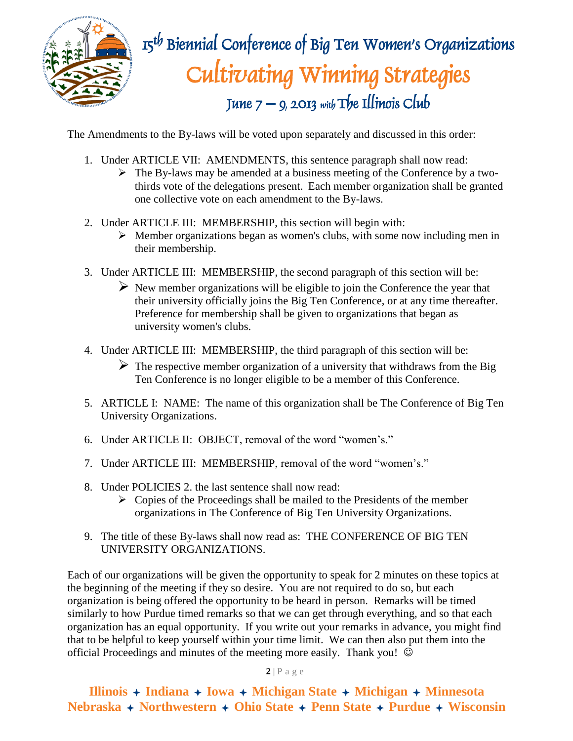

# $\mathbb{R}$   $\mathbb{R}$   $\mathbb{R}$   $\mathbb{R}$   $\mathbb{R}$   $\mathbb{R}$   $\mathbb{R}$  Biennial Conference of Big Ten Women's Organizations Cultivating Winning Strategies June  $7 - 9$ , 2013 with The Illinois Club

The Amendments to the By-laws will be voted upon separately and discussed in this order:

- 1. Under ARTICLE VII: AMENDMENTS, this sentence paragraph shall now read:
	- $\triangleright$  The By-laws may be amended at a business meeting of the Conference by a twothirds vote of the delegations present. Each member organization shall be granted one collective vote on each amendment to the By-laws.
- 2. Under ARTICLE III: MEMBERSHIP, this section will begin with:
	- $\triangleright$  Member organizations began as women's clubs, with some now including men in their membership.
- 3. Under ARTICLE III: MEMBERSHIP, the second paragraph of this section will be:
	- $\triangleright$  New member organizations will be eligible to join the Conference the year that their university officially joins the Big Ten Conference, or at any time thereafter. Preference for membership shall be given to organizations that began as university women's clubs.
- 4. Under ARTICLE III: MEMBERSHIP, the third paragraph of this section will be:
	- $\triangleright$  The respective member organization of a university that withdraws from the Big Ten Conference is no longer eligible to be a member of this Conference.
- 5. ARTICLE I: NAME: The name of this organization shall be The Conference of Big Ten University Organizations.
- 6. Under ARTICLE II: OBJECT, removal of the word "women's."
- 7. Under ARTICLE III: MEMBERSHIP, removal of the word "women's."
- 8. Under POLICIES 2. the last sentence shall now read:
	- $\triangleright$  Copies of the Proceedings shall be mailed to the Presidents of the member organizations in The Conference of Big Ten University Organizations.
- 9. The title of these By-laws shall now read as: THE CONFERENCE OF BIG TEN UNIVERSITY ORGANIZATIONS.

Each of our organizations will be given the opportunity to speak for 2 minutes on these topics at the beginning of the meeting if they so desire. You are not required to do so, but each organization is being offered the opportunity to be heard in person. Remarks will be timed similarly to how Purdue timed remarks so that we can get through everything, and so that each organization has an equal opportunity. If you write out your remarks in advance, you might find that to be helpful to keep yourself within your time limit. We can then also put them into the official Proceedings and minutes of the meeting more easily. Thank you!  $\odot$ 

**2** | P a g e

**Illinois Indiana Iowa Michigan State Michigan Minnesota Nebraska Northwestern Ohio State Penn State Purdue Wisconsin**